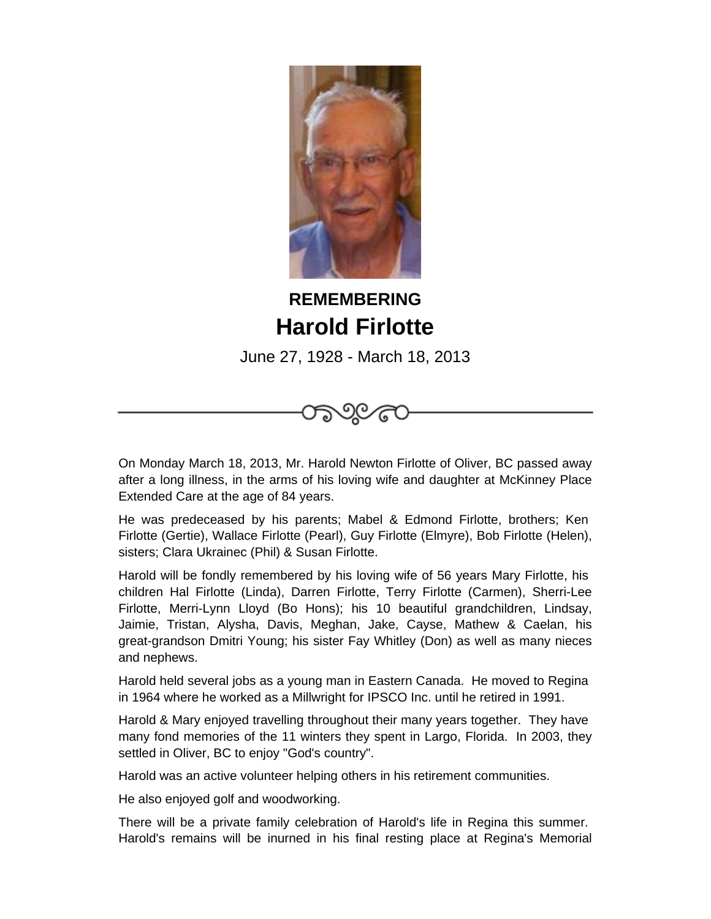

## **REMEMBERING Harold Firlotte**

June 27, 1928 - March 18, 2013

೧೯೭

On Monday March 18, 2013, Mr. Harold Newton Firlotte of Oliver, BC passed away after a long illness, in the arms of his loving wife and daughter at McKinney Place Extended Care at the age of 84 years.

 He was predeceased by his parents; Mabel & Edmond Firlotte, brothers; Ken Firlotte (Gertie), Wallace Firlotte (Pearl), Guy Firlotte (Elmyre), Bob Firlotte (Helen), sisters; Clara Ukrainec (Phil) & Susan Firlotte.

 Harold will be fondly remembered by his loving wife of 56 years Mary Firlotte, his children Hal Firlotte (Linda), Darren Firlotte, Terry Firlotte (Carmen), Sherri-Lee Firlotte, Merri-Lynn Lloyd (Bo Hons); his 10 beautiful grandchildren, Lindsay, Jaimie, Tristan, Alysha, Davis, Meghan, Jake, Cayse, Mathew & Caelan, his great-grandson Dmitri Young; his sister Fay Whitley (Don) as well as many nieces and nephews.

 Harold held several jobs as a young man in Eastern Canada. He moved to Regina in 1964 where he worked as a Millwright for IPSCO Inc. until he retired in 1991.

 Harold & Mary enjoyed travelling throughout their many years together. They have many fond memories of the 11 winters they spent in Largo, Florida. In 2003, they settled in Oliver, BC to enjoy "God's country".

 Harold was an active volunteer helping others in his retirement communities.

 He also enjoyed golf and woodworking.

 There will be a private family celebration of Harold's life in Regina this summer. Harold's remains will be inurned in his final resting place at Regina's Memorial